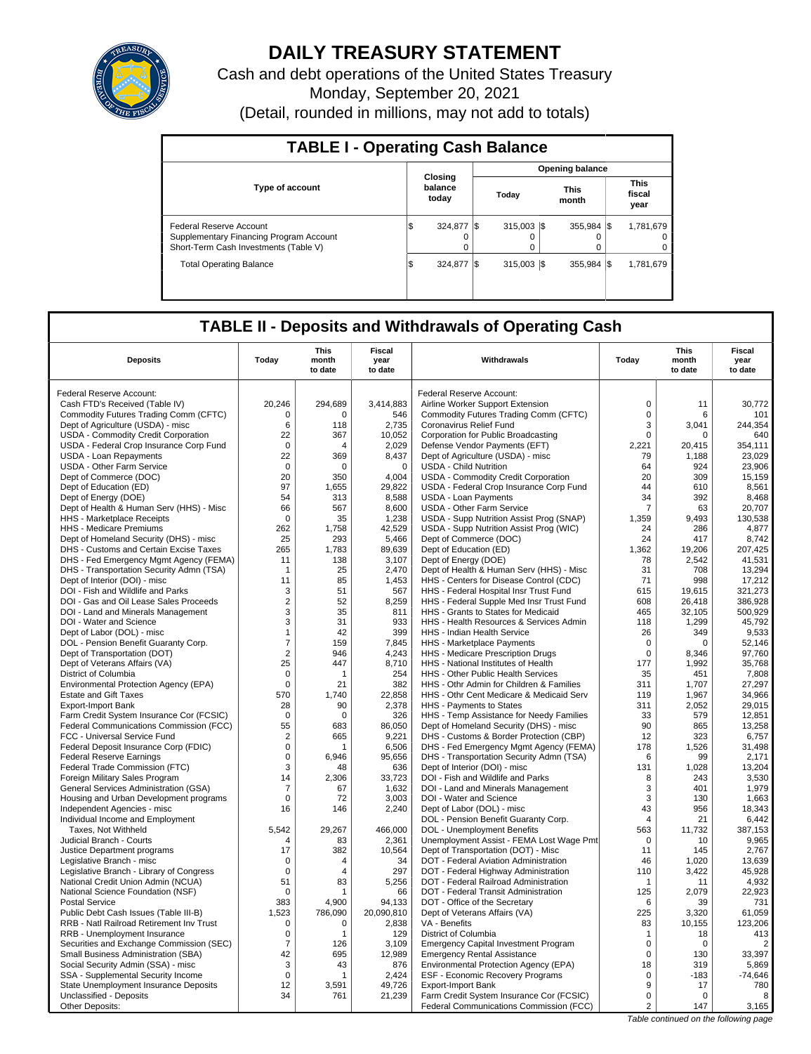

# **DAILY TREASURY STATEMENT**

Cash and debt operations of the United States Treasury Monday, September 20, 2021 (Detail, rounded in millions, may not add to totals)

| <b>TABLE I - Operating Cash Balance</b>                                                                     |     |                             |     |                        |  |                            |  |                               |  |
|-------------------------------------------------------------------------------------------------------------|-----|-----------------------------|-----|------------------------|--|----------------------------|--|-------------------------------|--|
|                                                                                                             |     |                             |     | <b>Opening balance</b> |  |                            |  |                               |  |
| <b>Type of account</b>                                                                                      |     | Closing<br>balance<br>today |     | Today                  |  | <b>This</b><br>month       |  | <b>This</b><br>fiscal<br>year |  |
| Federal Reserve Account<br>Supplementary Financing Program Account<br>Short-Term Cash Investments (Table V) | ıΦ  | 324.877<br>$\Omega$         |     | $315.003$ S<br>0       |  | $355.984$ $\sqrt{\$}$<br>0 |  | 1,781,679<br>0<br>0           |  |
| <b>Total Operating Balance</b>                                                                              | 1\$ | 324.877                     | I\$ | $315.003$ S            |  | 355.984 \\$                |  | 1,781,679                     |  |

## **TABLE II - Deposits and Withdrawals of Operating Cash**

| <b>Deposits</b>                                                                 | Today          | This<br>month<br>to date | <b>Fiscal</b><br>year<br>to date | Withdrawals                                 | Today          | <b>This</b><br>month<br>to date | Fiscal<br>year<br>to date |
|---------------------------------------------------------------------------------|----------------|--------------------------|----------------------------------|---------------------------------------------|----------------|---------------------------------|---------------------------|
| Federal Reserve Account:                                                        |                |                          |                                  | Federal Reserve Account:                    |                |                                 |                           |
| Cash FTD's Received (Table IV)                                                  | 20,246         | 294,689                  | 3,414,883                        | Airline Worker Support Extension            | $\mathbf 0$    | 11                              | 30,772                    |
| Commodity Futures Trading Comm (CFTC)                                           | $\mathbf 0$    | $\Omega$                 | 546                              | Commodity Futures Trading Comm (CFTC)       | $\mathbf 0$    | 6                               | 101                       |
|                                                                                 | 6              | 118                      | 2,735                            | Coronavirus Relief Fund                     | 3              | 3,041                           | 244,354                   |
| Dept of Agriculture (USDA) - misc<br><b>USDA - Commodity Credit Corporation</b> | 22             | 367                      | 10,052                           | Corporation for Public Broadcasting         | $\mathbf 0$    | 0                               | 640                       |
| USDA - Federal Crop Insurance Corp Fund                                         | $\mathbf 0$    | $\Delta$                 | 2,029                            | Defense Vendor Payments (EFT)               | 2,221          | 20,415                          | 354,111                   |
| USDA - Loan Repayments                                                          | 22             | 369                      | 8.437                            | Dept of Agriculture (USDA) - misc           | 79             | 1,188                           | 23.029                    |
| <b>USDA - Other Farm Service</b>                                                | $\mathbf 0$    | $\mathbf 0$              | $\mathbf 0$                      | <b>USDA - Child Nutrition</b>               | 64             | 924                             | 23,906                    |
| Dept of Commerce (DOC)                                                          | 20             | 350                      | 4.004                            | <b>USDA - Commodity Credit Corporation</b>  | 20             | 309                             | 15.159                    |
| Dept of Education (ED)                                                          | 97             | 1,655                    | 29,822                           | USDA - Federal Crop Insurance Corp Fund     | 44             | 610                             | 8,561                     |
| Dept of Energy (DOE)                                                            | 54             | 313                      | 8,588                            | <b>USDA - Loan Payments</b>                 | 34             | 392                             | 8,468                     |
| Dept of Health & Human Serv (HHS) - Misc                                        | 66             | 567                      | 8,600                            | <b>USDA - Other Farm Service</b>            | $\overline{7}$ | 63                              | 20,707                    |
| <b>HHS</b> - Marketplace Receipts                                               | $\mathbf 0$    | 35                       | 1,238                            | USDA - Supp Nutrition Assist Prog (SNAP)    | 1,359          | 9,493                           | 130,538                   |
| HHS - Medicare Premiums                                                         | 262            | 1,758                    | 42,529                           | USDA - Supp Nutrition Assist Prog (WIC)     | 24             | 286                             | 4,877                     |
| Dept of Homeland Security (DHS) - misc                                          | 25             | 293                      | 5,466                            | Dept of Commerce (DOC)                      | 24             | 417                             | 8,742                     |
| DHS - Customs and Certain Excise Taxes                                          | 265            | 1,783                    | 89,639                           | Dept of Education (ED)                      | 1,362          | 19,206                          | 207,425                   |
| DHS - Fed Emergency Mgmt Agency (FEMA)                                          | 11             | 138                      | 3,107                            | Dept of Energy (DOE)                        | 78             | 2,542                           | 41,531                    |
| DHS - Transportation Security Admn (TSA)                                        | -1             | 25                       | 2,470                            | Dept of Health & Human Serv (HHS) - Misc    | 31             | 708                             | 13,294                    |
| Dept of Interior (DOI) - misc                                                   | 11             | 85                       | 1.453                            | HHS - Centers for Disease Control (CDC)     | 71             | 998                             | 17.212                    |
| DOI - Fish and Wildlife and Parks                                               | 3              | 51                       | 567                              | HHS - Federal Hospital Insr Trust Fund      | 615            | 19,615                          | 321,273                   |
| DOI - Gas and Oil Lease Sales Proceeds                                          | $\overline{2}$ | 52                       | 8.259                            | HHS - Federal Supple Med Insr Trust Fund    | 608            | 26.418                          | 386.928                   |
| DOI - Land and Minerals Management                                              | $\sqrt{3}$     | 35                       | 811                              | HHS - Grants to States for Medicaid         | 465            | 32,105                          | 500,929                   |
| DOI - Water and Science                                                         | 3              | 31                       | 933                              | HHS - Health Resources & Services Admin     | 118            | 1,299                           | 45,792                    |
| Dept of Labor (DOL) - misc                                                      | $\mathbf{1}$   | 42                       | 399                              | HHS - Indian Health Service                 | 26             | 349                             | 9,533                     |
| DOL - Pension Benefit Guaranty Corp.                                            | $\overline{7}$ | 159                      | 7,845                            | HHS - Marketplace Payments                  | $\mathbf 0$    | $\Omega$                        | 52,146                    |
| Dept of Transportation (DOT)                                                    | $\overline{2}$ | 946                      | 4,243                            | HHS - Medicare Prescription Drugs           | $\mathbf 0$    | 8,346                           | 97,760                    |
| Dept of Veterans Affairs (VA)                                                   | 25             | 447                      | 8,710                            | HHS - National Institutes of Health         | 177            | 1,992                           | 35,768                    |
| District of Columbia                                                            | $\mathbf 0$    | $\mathbf{1}$             | 254                              | HHS - Other Public Health Services          | 35             | 451                             | 7,808                     |
| Environmental Protection Agency (EPA)                                           | $\mathbf 0$    | 21                       | 382                              | HHS - Othr Admin for Children & Families    | 311            | 1.707                           | 27.297                    |
| <b>Estate and Gift Taxes</b>                                                    | 570            | 1.740                    | 22,858                           | HHS - Othr Cent Medicare & Medicaid Serv    | 119            | 1,967                           | 34,966                    |
| <b>Export-Import Bank</b>                                                       | 28             | 90                       | 2,378                            | HHS - Payments to States                    | 311            | 2,052                           | 29,015                    |
| Farm Credit System Insurance Cor (FCSIC)                                        | $\mathbf 0$    | $\mathbf 0$              | 326                              | HHS - Temp Assistance for Needy Families    | 33             | 579                             | 12,851                    |
| <b>Federal Communications Commission (FCC)</b>                                  | 55             | 683                      | 86.050                           | Dept of Homeland Security (DHS) - misc      | 90             | 865                             | 13.258                    |
| FCC - Universal Service Fund                                                    | $\overline{2}$ | 665                      | 9,221                            | DHS - Customs & Border Protection (CBP)     | 12             | 323                             | 6,757                     |
| Federal Deposit Insurance Corp (FDIC)                                           | $\mathbf 0$    | 1                        | 6.506                            | DHS - Fed Emergency Mgmt Agency (FEMA)      | 178            | 1.526                           | 31.498                    |
| <b>Federal Reserve Earnings</b>                                                 | $\mathsf 0$    | 6,946                    | 95,656                           | DHS - Transportation Security Admn (TSA)    | 6              | 99                              | 2,171                     |
| Federal Trade Commission (FTC)                                                  | 3              | 48                       | 636                              | Dept of Interior (DOI) - misc               | 131            | 1,028                           | 13.204                    |
| Foreign Military Sales Program                                                  | 14             | 2,306                    | 33,723                           | DOI - Fish and Wildlife and Parks           | 8              | 243                             | 3,530                     |
| General Services Administration (GSA)                                           | $\overline{7}$ | 67                       | 1,632                            | DOI - Land and Minerals Management          | 3              | 401                             | 1,979                     |
| Housing and Urban Development programs                                          | $\mathbf 0$    | 72                       | 3,003                            | DOI - Water and Science                     | 3              | 130                             | 1,663                     |
| Independent Agencies - misc                                                     | 16             | 146                      | 2,240                            | Dept of Labor (DOL) - misc                  | 43             | 956                             | 18,343                    |
| Individual Income and Employment                                                |                |                          |                                  | DOL - Pension Benefit Guaranty Corp.        | $\overline{4}$ | 21                              | 6,442                     |
| Taxes, Not Withheld                                                             | 5.542          | 29,267                   | 466,000                          | DOL - Unemployment Benefits                 | 563            | 11,732                          | 387,153                   |
| Judicial Branch - Courts                                                        | $\overline{4}$ | 83                       | 2,361                            | Unemployment Assist - FEMA Lost Wage Pmt    | $\Omega$       | 10                              | 9,965                     |
| Justice Department programs                                                     | 17             | 382                      | 10,564                           | Dept of Transportation (DOT) - Misc         | 11             | 145                             | 2,767                     |
| Legislative Branch - misc                                                       | $\mathbf 0$    | 4                        | 34                               | DOT - Federal Aviation Administration       | 46             | 1,020                           | 13,639                    |
| Legislative Branch - Library of Congress                                        | $\mathbf 0$    | 4                        | 297                              | DOT - Federal Highway Administration        | 110            | 3.422                           | 45.928                    |
| National Credit Union Admin (NCUA)                                              | 51             | 83                       | 5,256                            | DOT - Federal Railroad Administration       | $\mathbf 1$    | 11                              | 4,932                     |
| National Science Foundation (NSF)                                               | $\mathbf 0$    | $\mathbf 1$              | 66                               | DOT - Federal Transit Administration        | 125            | 2,079                           | 22.923                    |
| <b>Postal Service</b>                                                           | 383            | 4,900                    | 94,133                           | DOT - Office of the Secretary               | 6              | 39                              | 731                       |
| Public Debt Cash Issues (Table III-B)                                           | 1,523          | 786,090                  | 20,090,810                       | Dept of Veterans Affairs (VA)               | 225            | 3,320                           | 61,059                    |
| RRB - Natl Railroad Retirement Inv Trust                                        | $\mathbf 0$    | 0                        | 2,838                            | VA - Benefits                               | 83             | 10,155                          | 123,206                   |
| RRB - Unemployment Insurance                                                    | $\mathbf 0$    | 1                        | 129                              | District of Columbia                        | $\mathbf{1}$   | 18                              | 413                       |
| Securities and Exchange Commission (SEC)                                        | $\overline{7}$ | 126                      | 3.109                            | <b>Emergency Capital Investment Program</b> | $\mathbf 0$    | $\mathbf 0$                     | $\overline{2}$            |
| Small Business Administration (SBA)                                             | 42             | 695                      | 12,989                           | <b>Emergency Rental Assistance</b>          | $\Omega$       | 130                             | 33,397                    |
| Social Security Admin (SSA) - misc                                              | 3              | 43                       | 876                              | Environmental Protection Agency (EPA)       | 18             | 319                             | 5,869                     |
| SSA - Supplemental Security Income                                              | $\mathbf 0$    | 1                        | 2,424                            | <b>ESF - Economic Recovery Programs</b>     | $\mathbf 0$    | $-183$                          | $-74,646$                 |
| State Unemployment Insurance Deposits                                           | 12             | 3,591                    | 49,726                           | <b>Export-Import Bank</b>                   | 9              | 17                              | 780                       |
| Unclassified - Deposits                                                         | 34             | 761                      | 21,239                           | Farm Credit System Insurance Cor (FCSIC)    | $\mathbf 0$    | $\Omega$                        | 8                         |
| Other Deposits:                                                                 |                |                          |                                  | Federal Communications Commission (FCC)     | 2              | 147                             | 3,165                     |

Table continued on the following page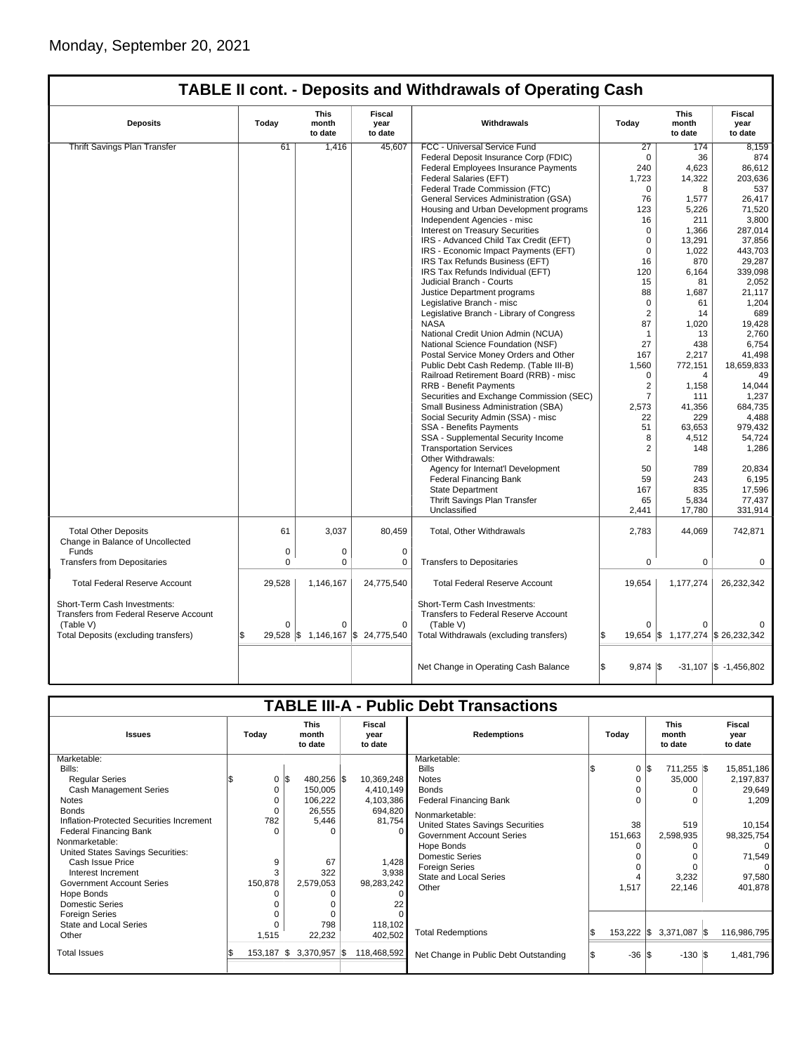| <b>Deposits</b>                                                               | Today        | <b>This</b><br>month<br>to date | Fiscal<br>year<br>to date | Withdrawals                                                                 | Today              | <b>This</b><br>month<br>to date   | <b>Fiscal</b><br>year<br>to date |  |
|-------------------------------------------------------------------------------|--------------|---------------------------------|---------------------------|-----------------------------------------------------------------------------|--------------------|-----------------------------------|----------------------------------|--|
| <b>Thrift Savings Plan Transfer</b>                                           | 61           | 1,416                           | 45,607                    | FCC - Universal Service Fund                                                | $\overline{27}$    | 174                               | 8,159                            |  |
|                                                                               |              |                                 |                           | Federal Deposit Insurance Corp (FDIC)                                       | $\Omega$           | 36                                | 874                              |  |
|                                                                               |              |                                 |                           | Federal Employees Insurance Payments                                        | 240                | 4,623                             | 86,612                           |  |
|                                                                               |              |                                 |                           | Federal Salaries (EFT)                                                      | 1,723              | 14,322                            | 203,636                          |  |
|                                                                               |              |                                 |                           | Federal Trade Commission (FTC)                                              | $\Omega$           | 8                                 | 537                              |  |
|                                                                               |              |                                 |                           | General Services Administration (GSA)                                       | 76                 | 1,577                             | 26,417                           |  |
|                                                                               |              |                                 |                           | Housing and Urban Development programs                                      | 123                | 5,226                             | 71,520                           |  |
|                                                                               |              |                                 |                           |                                                                             | 16                 |                                   | 3,800                            |  |
|                                                                               |              |                                 |                           | Independent Agencies - misc                                                 |                    | 211                               |                                  |  |
|                                                                               |              |                                 |                           | <b>Interest on Treasury Securities</b>                                      | $\Omega$           | 1.366                             | 287,014                          |  |
|                                                                               |              |                                 |                           | IRS - Advanced Child Tax Credit (EFT)                                       | $\mathbf 0$        | 13,291                            | 37,856                           |  |
|                                                                               |              |                                 |                           | IRS - Economic Impact Payments (EFT)                                        | $\mathbf 0$        | 1,022                             | 443,703                          |  |
|                                                                               |              |                                 |                           | IRS Tax Refunds Business (EFT)                                              | 16                 | 870                               | 29,287                           |  |
|                                                                               |              |                                 |                           | IRS Tax Refunds Individual (EFT)                                            | 120                | 6,164                             | 339,098                          |  |
|                                                                               |              |                                 |                           | Judicial Branch - Courts                                                    | 15                 | 81                                | 2,052                            |  |
|                                                                               |              |                                 |                           | Justice Department programs                                                 | 88                 | 1,687                             | 21,117                           |  |
|                                                                               |              |                                 |                           | Legislative Branch - misc                                                   | 0                  | 61                                | 1,204                            |  |
|                                                                               |              |                                 |                           | Legislative Branch - Library of Congress                                    | $\overline{2}$     | 14                                | 689                              |  |
|                                                                               |              |                                 |                           | <b>NASA</b>                                                                 | 87                 | 1,020                             | 19,428                           |  |
|                                                                               |              |                                 |                           | National Credit Union Admin (NCUA)                                          | $\mathbf{1}$       | 13                                | 2,760                            |  |
|                                                                               |              |                                 |                           | National Science Foundation (NSF)                                           | 27                 | 438                               | 6,754                            |  |
|                                                                               |              |                                 |                           | Postal Service Money Orders and Other                                       | 167                | 2,217                             | 41,498                           |  |
|                                                                               |              |                                 |                           | Public Debt Cash Redemp. (Table III-B)                                      | 1,560              | 772,151                           | 18,659,833                       |  |
|                                                                               |              |                                 |                           | Railroad Retirement Board (RRB) - misc                                      | $\mathbf 0$        | 4                                 | 49                               |  |
|                                                                               |              |                                 |                           | <b>RRB - Benefit Payments</b>                                               | $\overline{2}$     |                                   | 14,044                           |  |
|                                                                               |              |                                 |                           |                                                                             |                    | 1,158                             |                                  |  |
|                                                                               |              |                                 |                           | Securities and Exchange Commission (SEC)                                    | $\overline{7}$     | 111                               | 1,237                            |  |
|                                                                               |              |                                 |                           | Small Business Administration (SBA)                                         | 2,573              | 41,356                            | 684,735                          |  |
|                                                                               |              |                                 |                           | Social Security Admin (SSA) - misc                                          | 22                 | 229                               | 4,488                            |  |
|                                                                               |              |                                 |                           | SSA - Benefits Payments                                                     | 51                 | 63,653                            | 979,432                          |  |
|                                                                               |              |                                 |                           | SSA - Supplemental Security Income                                          | 8                  | 4,512                             | 54,724                           |  |
|                                                                               |              |                                 |                           | <b>Transportation Services</b>                                              | $\overline{2}$     | 148                               | 1,286                            |  |
|                                                                               |              |                                 |                           | Other Withdrawals:                                                          |                    |                                   |                                  |  |
|                                                                               |              |                                 |                           | Agency for Internat'l Development                                           | 50                 | 789                               | 20,834                           |  |
|                                                                               |              |                                 |                           | <b>Federal Financing Bank</b>                                               | 59                 | 243                               | 6,195                            |  |
|                                                                               |              |                                 |                           | <b>State Department</b>                                                     | 167                | 835                               | 17,596                           |  |
|                                                                               |              |                                 |                           | Thrift Savings Plan Transfer                                                | 65                 | 5,834                             | 77,437                           |  |
|                                                                               |              |                                 |                           | Unclassified                                                                | 2,441              | 17,780                            | 331,914                          |  |
|                                                                               |              |                                 |                           |                                                                             |                    |                                   |                                  |  |
| <b>Total Other Deposits</b><br>Change in Balance of Uncollected               | 61           | 3,037                           | 80,459                    | Total, Other Withdrawals                                                    | 2,783              | 44,069                            | 742,871                          |  |
| Funds                                                                         | 0            | $\pmb{0}$                       | $\mathbf 0$               |                                                                             |                    |                                   |                                  |  |
| <b>Transfers from Depositaries</b>                                            | 0            | 0                               | 0                         | <b>Transfers to Depositaries</b>                                            | $\mathbf 0$        | 0                                 | 0                                |  |
|                                                                               |              |                                 |                           |                                                                             |                    |                                   |                                  |  |
| <b>Total Federal Reserve Account</b>                                          | 29,528       | 1,146,167                       | 24,775,540                | <b>Total Federal Reserve Account</b>                                        | 19,654             | 1,177,274                         | 26,232,342                       |  |
| Short-Term Cash Investments:<br><b>Transfers from Federal Reserve Account</b> |              |                                 |                           | Short-Term Cash Investments:<br><b>Transfers to Federal Reserve Account</b> |                    |                                   |                                  |  |
| (Table V)                                                                     | $\Omega$     | $\Omega$                        | $\mathbf 0$               | (Table V)                                                                   | $\Omega$           | 0                                 |                                  |  |
|                                                                               | $29.528$ \\$ | 1,146,167                       |                           | Total Withdrawals (excluding transfers)                                     |                    |                                   |                                  |  |
| Total Deposits (excluding transfers)                                          |              |                                 | \$24,775,540              |                                                                             |                    | 19,654 \$ 1,177,274 \$ 26,232,342 |                                  |  |
|                                                                               |              |                                 |                           | Net Change in Operating Cash Balance                                        | l\$<br>$9.874$ \\$ |                                   | $-31,107$ \$ $-1,456,802$        |  |

## **TABLE III-A - Public Debt Transactions**

| <b>Issues</b>                                                                                                                                                                                                                                                                                                                                                                                                           | Today                                                | <b>This</b><br>month<br>to date                                                                                         | <b>Fiscal</b><br>year<br>to date                                                                                | <b>Redemptions</b>                                                                                                                                                                                                                                                                                                            | Today                                            | <b>This</b><br>month<br>to date                                                    | Fiscal<br>year<br>to date                                                                                                         |
|-------------------------------------------------------------------------------------------------------------------------------------------------------------------------------------------------------------------------------------------------------------------------------------------------------------------------------------------------------------------------------------------------------------------------|------------------------------------------------------|-------------------------------------------------------------------------------------------------------------------------|-----------------------------------------------------------------------------------------------------------------|-------------------------------------------------------------------------------------------------------------------------------------------------------------------------------------------------------------------------------------------------------------------------------------------------------------------------------|--------------------------------------------------|------------------------------------------------------------------------------------|-----------------------------------------------------------------------------------------------------------------------------------|
| Marketable:<br>Bills:<br><b>Regular Series</b><br>Cash Management Series<br>Notes<br><b>Bonds</b><br>Inflation-Protected Securities Increment<br><b>Federal Financing Bank</b><br>Nonmarketable:<br>United States Savings Securities:<br>Cash Issue Price<br>Interest Increment<br><b>Government Account Series</b><br>Hope Bonds<br><b>Domestic Series</b><br><b>Foreign Series</b><br>State and Local Series<br>Other | $\Omega$<br>782<br>$\Omega$<br>9<br>150,878<br>1,515 | $0 \,$ $\upbeta$<br>480,256 \$<br>150,005<br>106,222<br>26,555<br>5,446<br>ŋ<br>67<br>322<br>2,579,053<br>798<br>22,232 | 10,369,248<br>4,410,149<br>4,103,386<br>694,820<br>81,754<br>1,428<br>3,938<br>98,283,242<br>118,102<br>402,502 | Marketable:<br><b>Bills</b><br><b>Notes</b><br><b>Bonds</b><br><b>Federal Financing Bank</b><br>Nonmarketable:<br>United States Savings Securities<br><b>Government Account Series</b><br>Hope Bonds<br><b>Domestic Series</b><br><b>Foreign Series</b><br><b>State and Local Series</b><br>Other<br><b>Total Redemptions</b> | $\Omega$<br>38<br>151,663<br>1,517<br>153,222 \$ | 711,255 \$<br>35,000<br>0<br>519<br>2,598,935<br>3,232<br>22,146<br>$3,371,087$ \$ | 15,851,186<br>2,197,837<br>29,649<br>1,209<br>10,154<br>98,325,754<br>0<br>71,549<br>$\Omega$<br>97,580<br>401,878<br>116,986,795 |
| <b>Total Issues</b>                                                                                                                                                                                                                                                                                                                                                                                                     | $153,187$ \\$                                        | $3,370,957$ \\$                                                                                                         | 118,468,592                                                                                                     | Net Change in Public Debt Outstanding                                                                                                                                                                                                                                                                                         | $-36 S$                                          | $-130$ \\$                                                                         | 1,481,796                                                                                                                         |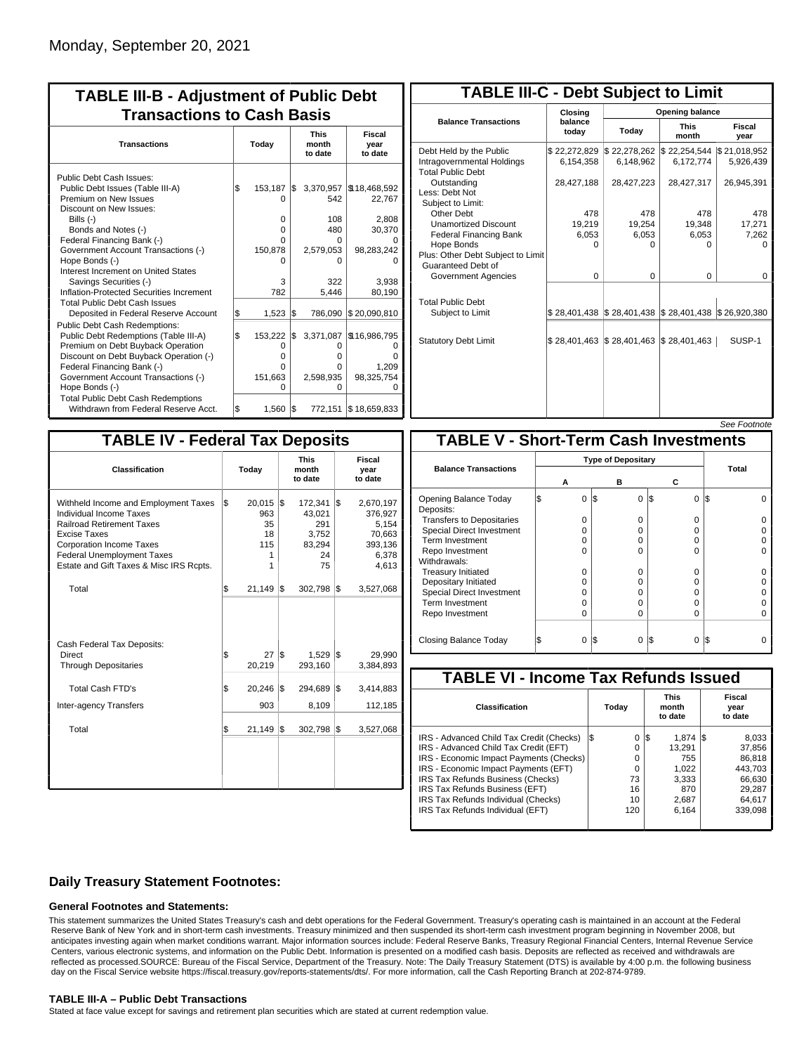| <b>TABLE III-B - Adjustment of Public Debt</b><br><b>Transactions to Cash Basis</b>                                                        |           |                           |            |                      |                                           |                                 |                           |  |  |
|--------------------------------------------------------------------------------------------------------------------------------------------|-----------|---------------------------|------------|----------------------|-------------------------------------------|---------------------------------|---------------------------|--|--|
| <b>Transactions</b>                                                                                                                        | Today     |                           |            |                      |                                           | <b>This</b><br>month<br>to date | Fiscal<br>year<br>to date |  |  |
| Public Debt Cash Issues:<br>Public Debt Issues (Table III-A)<br>Premium on New Issues                                                      | 1\$       | 153,187<br>O              | l\$        | 3,370,957<br>542     | \$18,468,592<br>22,767                    |                                 |                           |  |  |
| Discount on New Issues:<br>Bills (-)<br>Bonds and Notes (-)<br>Federal Financing Bank (-)                                                  |           | 0<br>0<br>0               |            | 108<br>480<br>U      | 2,808<br>30,370                           |                                 |                           |  |  |
| Government Account Transactions (-)<br>Hope Bonds (-)<br>Interest Increment on United States                                               |           | 150,878<br>U              |            | 2,579,053<br>n       | 98,283,242                                |                                 |                           |  |  |
| Savings Securities (-)<br>Inflation-Protected Securities Increment<br><b>Total Public Debt Cash Issues</b>                                 |           | 3<br>782                  |            | 322<br>5.446         | 3.938<br>80,190                           |                                 |                           |  |  |
| Deposited in Federal Reserve Account<br>Public Debt Cash Redemptions:<br>Public Debt Redemptions (Table III-A)                             | \$<br>l\$ | 1,523<br>153,222          | 1\$<br>I\$ | 786,090<br>3,371,087 | \$20,090,810<br>\$16,986,795              |                                 |                           |  |  |
| Premium on Debt Buyback Operation<br>Discount on Debt Buyback Operation (-)<br>Federal Financing Bank (-)                                  |           | $\Omega$<br>$\Omega$<br>0 |            | 0<br>o<br>U          | n<br>1,209                                |                                 |                           |  |  |
| Government Account Transactions (-)<br>Hope Bonds (-)<br><b>Total Public Debt Cash Redemptions</b><br>Withdrawn from Federal Reserve Acct. | l\$       | 151,663<br>O<br>1,560     | 1\$        | 2,598,935<br>O       | 98,325,754<br>O<br>772,151   \$18,659,833 |                                 |                           |  |  |

| <b>TABLE III-C - Debt Subject to Limit</b>                                        |                             |                                                                                                     |                           |                           |  |  |  |  |  |  |
|-----------------------------------------------------------------------------------|-----------------------------|-----------------------------------------------------------------------------------------------------|---------------------------|---------------------------|--|--|--|--|--|--|
|                                                                                   | Closing                     | Opening balance                                                                                     |                           |                           |  |  |  |  |  |  |
| <b>Balance Transactions</b>                                                       | balance<br>todav            | Today                                                                                               | <b>This</b><br>month      | Fiscal<br>year            |  |  |  |  |  |  |
| Debt Held by the Public<br>Intragovernmental Holdings<br><b>Total Public Debt</b> | \$22,272,829<br>6,154,358   | \$22,278,262<br>6.148.962                                                                           | \$22,254,544<br>6,172,774 | \$21,018,952<br>5,926,439 |  |  |  |  |  |  |
| Outstanding<br>Less: Debt Not<br>Subject to Limit:                                | 28,427,188                  | 28,427,223                                                                                          | 28,427,317                | 26,945,391                |  |  |  |  |  |  |
| Other Debt                                                                        | 478                         | 478                                                                                                 | 478                       | 478                       |  |  |  |  |  |  |
| <b>Unamortized Discount</b>                                                       | 19,219                      | 19,254                                                                                              | 19.348                    | 17,271                    |  |  |  |  |  |  |
| <b>Federal Financing Bank</b>                                                     | 6,053                       | 6,053                                                                                               | 6,053                     | 7,262                     |  |  |  |  |  |  |
| Hope Bonds<br>Plus: Other Debt Subject to Limit<br>Guaranteed Debt of             | n                           | n                                                                                                   | n                         | n                         |  |  |  |  |  |  |
| Government Agencies                                                               | $\Omega$                    | $\Omega$                                                                                            | 0                         | $\Omega$                  |  |  |  |  |  |  |
| <b>Total Public Debt</b><br>Subject to Limit                                      |                             | $\frac{1}{2}$ 28,401,438 $\frac{1}{2}$ 28,401,438 $\frac{1}{2}$ 28,401,438 $\frac{1}{2}$ 26,920,380 |                           |                           |  |  |  |  |  |  |
| <b>Statutory Debt Limit</b>                                                       | $$28,401,463$ $$28,401,463$ |                                                                                                     | \$28,401,463              | SUSP-1                    |  |  |  |  |  |  |
|                                                                                   |                             |                                                                                                     |                           |                           |  |  |  |  |  |  |

See Footnote

| <b>TABLE IV - Federal Tax Deposits</b>                                                                                                                                                                                                 |                                                        |                                                            |                                                                      |  |  |  |  |  |  |  |
|----------------------------------------------------------------------------------------------------------------------------------------------------------------------------------------------------------------------------------------|--------------------------------------------------------|------------------------------------------------------------|----------------------------------------------------------------------|--|--|--|--|--|--|--|
| Classification                                                                                                                                                                                                                         | Today                                                  | <b>This</b><br>month<br>to date                            | Fiscal<br>year<br>to date                                            |  |  |  |  |  |  |  |
| Withheld Income and Employment Taxes<br>Individual Income Taxes<br><b>Railroad Retirement Taxes</b><br>Excise Taxes<br><b>Corporation Income Taxes</b><br><b>Federal Unemployment Taxes</b><br>Estate and Gift Taxes & Misc IRS Rcpts. | l\$<br>$20,015$ \$<br>963<br>35<br>18<br>115<br>1<br>1 | 172,341 \$<br>43.021<br>291<br>3,752<br>83,294<br>24<br>75 | 2,670,197<br>376,927<br>5,154<br>70,663<br>393,136<br>6,378<br>4,613 |  |  |  |  |  |  |  |
| Total                                                                                                                                                                                                                                  | \$<br>21,149                                           | 1\$<br>302,798                                             | 1\$<br>3,527,068                                                     |  |  |  |  |  |  |  |
| Cash Federal Tax Deposits:<br>Direct<br><b>Through Depositaries</b>                                                                                                                                                                    | \$<br>20,219                                           | 27 S<br>1,529<br>293,160                                   | l\$<br>29,990<br>3,384,893                                           |  |  |  |  |  |  |  |
| <b>Total Cash FTD's</b>                                                                                                                                                                                                                | \$<br>20,246 \$                                        | 294,689                                                    | 1\$<br>3,414,883                                                     |  |  |  |  |  |  |  |
| <b>Inter-agency Transfers</b>                                                                                                                                                                                                          | 903                                                    | 8,109                                                      | 112,185                                                              |  |  |  |  |  |  |  |
| Total                                                                                                                                                                                                                                  | \$<br>21,149                                           | 1\$<br>302,798                                             | Ι\$<br>3,527,068                                                     |  |  |  |  |  |  |  |
|                                                                                                                                                                                                                                        |                                                        |                                                            |                                                                      |  |  |  |  |  |  |  |

|                                              |   |                           |     |          |    |          | טעט ו טטעו |          |  |  |
|----------------------------------------------|---|---------------------------|-----|----------|----|----------|------------|----------|--|--|
| <b>TABLE V - Short-Term Cash Investments</b> |   |                           |     |          |    |          |            |          |  |  |
|                                              |   | <b>Type of Depositary</b> |     |          |    |          |            |          |  |  |
| <b>Balance Transactions</b>                  |   |                           |     |          |    |          | Total      |          |  |  |
|                                              | А |                           |     | в        | С  |          |            |          |  |  |
| Opening Balance Today<br>Deposits:           | S | $\Omega$                  | l\$ | 0        | ß. | 0        | IS.        | ŋ        |  |  |
| <b>Transfers to Depositaries</b>             |   | $\Omega$                  |     | $\Omega$ |    | 0        |            |          |  |  |
| Special Direct Investment                    |   | 0                         |     | 0        |    | 0        |            |          |  |  |
| Term Investment                              |   | 0                         |     | 0        |    | 0        |            |          |  |  |
| Repo Investment                              |   | $\Omega$                  |     | $\Omega$ |    | O        |            |          |  |  |
| Withdrawals:                                 |   |                           |     |          |    |          |            |          |  |  |
| <b>Treasury Initiated</b>                    |   | $\Omega$                  |     | $\Omega$ |    | $\Omega$ |            |          |  |  |
| Depositary Initiated                         |   | O                         |     | o        |    | 0        |            |          |  |  |
| <b>Special Direct Investment</b>             |   | 0                         |     | U        |    | 0        |            |          |  |  |
| <b>Term Investment</b>                       |   | $\Omega$                  |     | $\Omega$ |    | 0        |            |          |  |  |
| Repo Investment                              |   | $\Omega$                  |     | $\Omega$ |    | $\Omega$ |            | $\Omega$ |  |  |
|                                              |   |                           |     |          |    |          |            |          |  |  |
| Closing Balance Today                        |   | $\Omega$                  | I\$ | 0        | S  | 0        | IS         |          |  |  |

| <b>TABLE VI - Income Tax Refunds Issued</b> |     |       |     |                                 |  |                           |  |  |  |
|---------------------------------------------|-----|-------|-----|---------------------------------|--|---------------------------|--|--|--|
| <b>Classification</b>                       |     | Today |     | <b>This</b><br>month<br>to date |  | Fiscal<br>year<br>to date |  |  |  |
| IRS - Advanced Child Tax Credit (Checks)    | I\$ | 0     | 1\$ | $1.874$ S                       |  | 8,033                     |  |  |  |
| IRS - Advanced Child Tax Credit (EFT)       |     | 0     |     | 13.291                          |  | 37.856                    |  |  |  |
| IRS - Economic Impact Payments (Checks)     |     | 0     |     | 755                             |  | 86.818                    |  |  |  |
| IRS - Economic Impact Payments (EFT)        |     | 0     |     | 1.022                           |  | 443.703                   |  |  |  |
| IRS Tax Refunds Business (Checks)           |     | 73    |     | 3.333                           |  | 66.630                    |  |  |  |
| IRS Tax Refunds Business (EFT)              |     | 16    |     | 870                             |  | 29,287                    |  |  |  |
| IRS Tax Refunds Individual (Checks)         |     | 10    |     | 2,687                           |  | 64.617                    |  |  |  |
| IRS Tax Refunds Individual (EFT)            |     | 120   |     | 6.164                           |  | 339.098                   |  |  |  |
|                                             |     |       |     |                                 |  |                           |  |  |  |

### **Daily Treasury Statement Footnotes:**

### **General Footnotes and Statements:**

This statement summarizes the United States Treasury's cash and debt operations for the Federal Government. Treasury's operating cash is maintained in an account at the Federal Reserve Bank of New York and in short-term cash investments. Treasury minimized and then suspended its short-term cash investment program beginning in November 2008, but anticipates investing again when market conditions warrant. Major information sources include: Federal Reserve Banks, Treasury Regional Financial Centers, Internal Revenue Service Centers, various electronic systems, and information on the Public Debt. Information is presented on a modified cash basis. Deposits are reflected as received and withdrawals are reflected as processed.SOURCE: Bureau of the Fiscal Service, Department of the Treasury. Note: The Daily Treasury Statement (DTS) is available by 4:00 p.m. the following business day on the Fiscal Service website https://fiscal.treasury.gov/reports-statements/dts/. For more information, call the Cash Reporting Branch at 202-874-9789.

### **TABLE III-A – Public Debt Transactions**

Stated at face value except for savings and retirement plan securities which are stated at current redemption value.